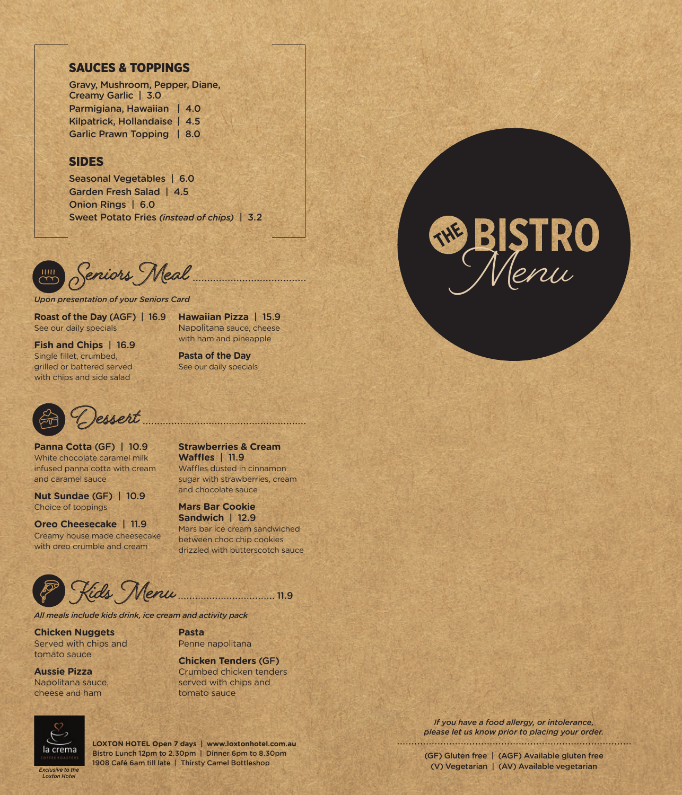# SAUCES & TOPPINGS

Gravy, Mushroom, Pepper, Diane, Creamy Garlic | 3.0 Parmigiana, Hawaiian | 4.0 Kilpatrick, Hollandaise | 4.5 Garlic Prawn Topping | 8.0

## SIDES

Seasonal Vegetables | 6.0 Garden Fresh Salad | 4.5 Onion Rings | 6.0 Sweet Potato Fries *(instead of chips)* | 3.2

*Upon presentation of your Seniors Card*

**Roast of the Day** (AGF) | 16.9 See our daily specials

**Hawaiian Pizza** | 15.9 Napolitana sauce, cheese with ham and pineapple

**Fish and Chips** | 16.9 Single fillet, crumbed, grilled or battered served with chips and side salad

**Pasta of the Day** See our daily specials



**Panna Cotta** (GF) | 10.9 White chocolate caramel milk infused panna cotta with cream and caramel sauce

**Nut Sundae** (GF) | 10.9 Choice of toppings

**Oreo Cheesecake** | 11.9 Creamy house made cheesecake with oreo crumble and cream

**Strawberries & Cream Waffles** | 11.9 Waffles dusted in cinnamon sugar with strawberries, cream and chocolate sauce

**Mars Bar Cookie Sandwich** | 12.9 Mars bar ice cream sandwiched between choc chip cookies drizzled with butterscotch sauce

**Kids Menu** 11.9

*All meals include kids drink, ice cream and activity pack*

**Chicken Nuggets** Served with chips and tomato sauce

**Aussie Pizza** Napolitana sauce, cheese and ham



**LOXTON HOTEL Open 7 days | www.loxtonhotel.com.au** Bistro Lunch 12pm to 2.30pm | Dinner 6pm to 8.30pm 1908 Café 6am till late | Thirsty Camel Bottleshop

tomato sauce

**Pasta**

Penne napolitana

**Chicken Tenders** (GF) Crumbed chicken tenders served with chips and



*If you have a food allergy, or intolerance, please let us know prior to placing your order.* 

> (GF) Gluten free | (AGF) Available gluten free (V) Vegetarian | (AV) Available vegetarian

*Exclusive to the Loxton Hotel*